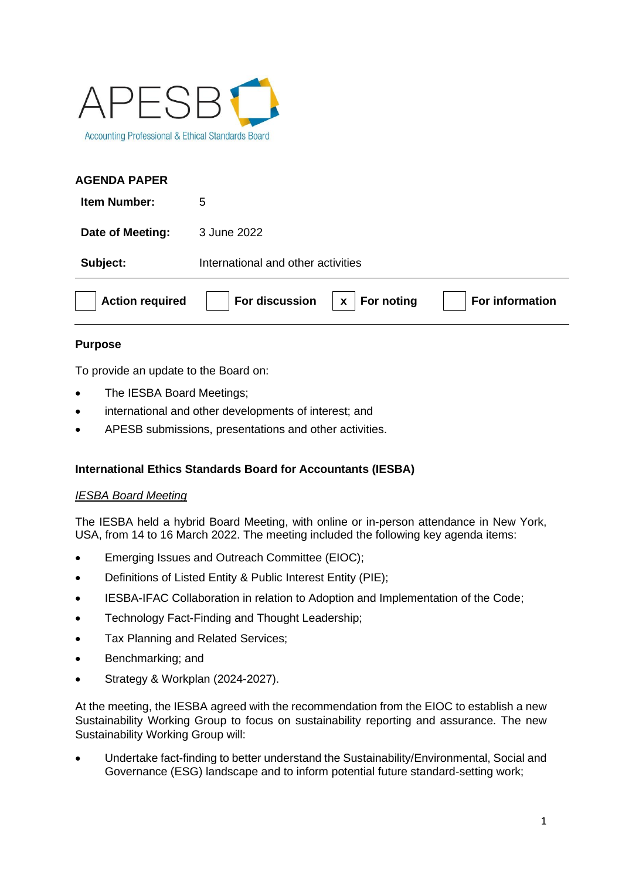

### **AGENDA PAPER**

| <b>Item Number:</b>    | 5                                                    |
|------------------------|------------------------------------------------------|
| Date of Meeting:       | 3 June 2022                                          |
| Subject:               | International and other activities                   |
| <b>Action required</b> | For discussion<br>For noting<br>For information<br>X |

### **Purpose**

To provide an update to the Board on:

- The IESBA Board Meetings;
- international and other developments of interest; and
- APESB submissions, presentations and other activities.

# **International Ethics Standards Board for Accountants (IESBA)**

### *IESBA Board Meeting*

The IESBA held a hybrid Board Meeting, with online or in-person attendance in New York, USA, from 14 to 16 March 2022. The meeting included the following key agenda items:

- Emerging Issues and Outreach Committee (EIOC):
- Definitions of Listed Entity & Public Interest Entity (PIE);
- IESBA-IFAC Collaboration in relation to Adoption and Implementation of the Code;
- Technology Fact-Finding and Thought Leadership;
- Tax Planning and Related Services;
- Benchmarking; and
- Strategy & Workplan (2024-2027).

At the meeting, the IESBA agreed with the recommendation from the EIOC to establish a new Sustainability Working Group to focus on sustainability reporting and assurance. The new Sustainability Working Group will:

• Undertake fact-finding to better understand the Sustainability/Environmental, Social and Governance (ESG) landscape and to inform potential future standard-setting work;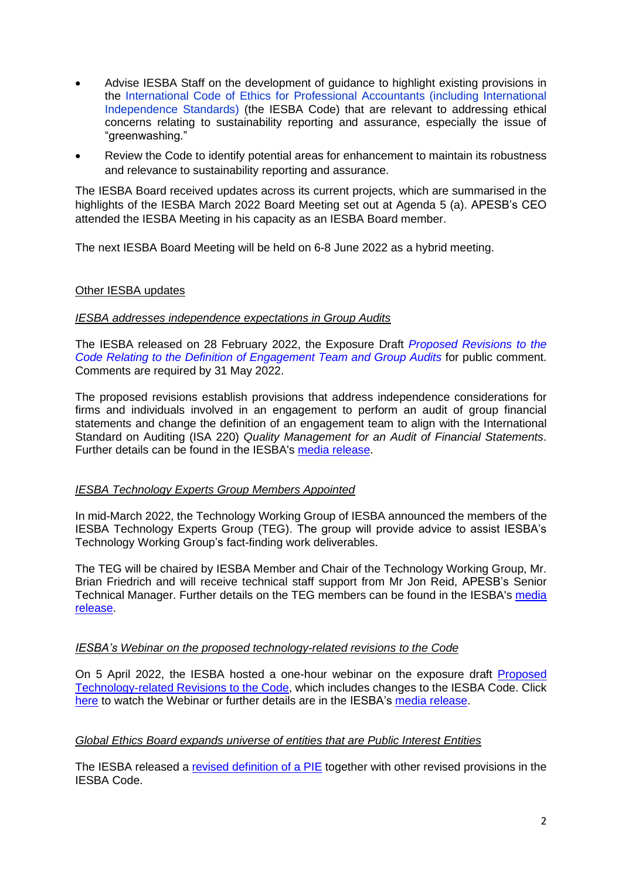- Advise IESBA Staff on the development of guidance to highlight existing provisions in the [International Code of Ethics for Professional Accountants \(including International](https://www.ethicsboard.org/standards-pronouncements)  [Independence Standards\)](https://www.ethicsboard.org/standards-pronouncements) (the IESBA Code) that are relevant to addressing ethical concerns relating to sustainability reporting and assurance, especially the issue of "greenwashing."
- Review the Code to identify potential areas for enhancement to maintain its robustness and relevance to sustainability reporting and assurance.

The IESBA Board received updates across its current projects, which are summarised in the highlights of the IESBA March 2022 Board Meeting set out at Agenda 5 (a). APESB's CEO attended the IESBA Meeting in his capacity as an IESBA Board member.

The next IESBA Board Meeting will be held on 6-8 June 2022 as a hybrid meeting.

#### Other IESBA updates

#### *IESBA addresses independence expectations in Group Audits*

The IESBA released on 28 February 2022, the Exposure Draft *[Proposed Revisions to the](https://www.ethicsboard.org/publications/proposed-revisions-code-relating-definition-engagement-team-and-group-audits)  [Code Relating to the Definition of Engagement Team and Group Audits](https://www.ethicsboard.org/publications/proposed-revisions-code-relating-definition-engagement-team-and-group-audits)* for public comment. Comments are required by 31 May 2022.

The proposed revisions establish provisions that address independence considerations for firms and individuals involved in an engagement to perform an audit of group financial statements and change the definition of an engagement team to align with the International Standard on Auditing (ISA 220) *Quality Management for an Audit of Financial Statements*. Further details can be found in the IESBA's [media release.](https://www.ethicsboard.org/news-events/2022-02/iesba-addresses-independence-expectations-group-audits)

#### *IESBA Technology Experts Group Members Appointed*

In mid-March 2022, the Technology Working Group of IESBA announced the members of the IESBA Technology Experts Group (TEG). The group will provide advice to assist IESBA's Technology Working Group's fact-finding work deliverables.

The TEG will be chaired by IESBA Member and Chair of the Technology Working Group, Mr. [Brian Friedrich](https://www.ifac.org/bio/brian-friedrich) and will receive technical staff support from Mr Jon Reid, APESB's Senior Technical Manager. Further details on the TEG members can be found in the IESBA's [media](https://www.ethicsboard.org/news-events/2022-03/iesba-technology-experts-group-members-appointed-0)  [release.](https://www.ethicsboard.org/news-events/2022-03/iesba-technology-experts-group-members-appointed-0)

#### *IESBA's Webinar on the proposed technology-related revisions to the Code*

On 5 April 2022, the IESBA hosted a one-hour webinar on the exposure draft [Proposed](https://www.ethicsboard.org/publications/proposed-technology-related-revisions-code)  [Technology-related Revisions to the Code,](https://www.ethicsboard.org/publications/proposed-technology-related-revisions-code) which includes changes to the IESBA Code. Click [here](https://www.youtube.com/watch?v=0RramL_gJ4M) to watch the Webinar or further details are in the IESBA's [media release.](https://www.ethicsboard.org/news-events/2022-04/now-available-watch-iesbas-global-webinar-proposed-technology-related-revisions-code)

#### *Global Ethics Board expands universe of entities that are Public Interest Entities*

The IESBA released a [revised definition of a PIE](https://www.ethicsboard.org/publications/final-pronouncement-revisions-definitions-listed-entity-and-public-interest-entity-code) together with other revised provisions in the IESBA Code.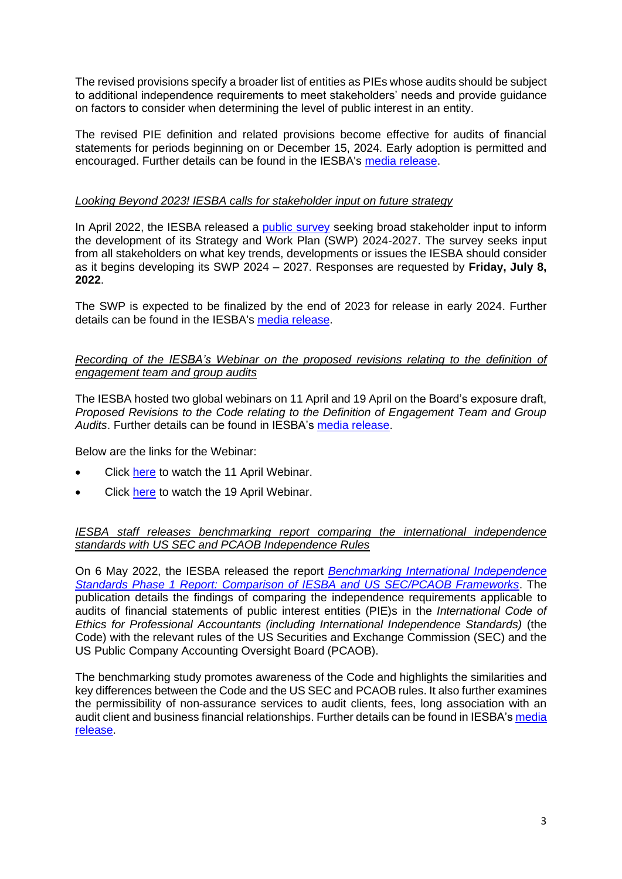The revised provisions specify a broader list of entities as PIEs whose audits should be subject to additional independence requirements to meet stakeholders' needs and provide guidance on factors to consider when determining the level of public interest in an entity.

The revised PIE definition and related provisions become effective for audits of financial statements for periods beginning on or December 15, 2024. Early adoption is permitted and encouraged. Further details can be found in the IESBA's [media release.](https://www.ethicsboard.org/news-events/2022-04/global-ethics-board-expands-universe-entities-are-public-interest-entities)

### *Looking Beyond 2023! IESBA calls for stakeholder input on future strategy*

In April 2022, the IESBA released a [public survey](https://www.ethicsboard.org/publications/iesba-strategy-survey-2022) seeking broad stakeholder input to inform the development of its Strategy and Work Plan (SWP) 2024-2027. The survey seeks input from all stakeholders on what key trends, developments or issues the IESBA should consider as it begins developing its SWP 2024 – 2027. Responses are requested by **Friday, July 8, 2022**.

The SWP is expected to be finalized by the end of 2023 for release in early 2024. Further details can be found in the IESBA's [media release.](https://www.ethicsboard.org/news-events/2022-04/looking-beyond-2023-iesba-calls-stakeholder-input-future-strategy)

### *Recording of the IESBA's Webinar on the proposed revisions relating to the definition of engagement team and group audits*

The IESBA hosted two global webinars on 11 April and 19 April on the Board's exposure draft, *Proposed Revisions to the Code relating to the Definition of Engagement Team and Group Audits*. Further details can be found in IESBA's [media release.](https://www.ethicsboard.org/news-events/2022-04/now-available-watch-iesbas-global-webinar-proposed-revisions-relating-definition-engagement-team-and)

Below are the links for the Webinar:

- Click [here](https://www.youtube.com/watch?v=G_Wdk4pqCfA) to watch the 11 April Webinar.
- Click [here](https://www.youtube.com/watch?v=a69w7H-39QI) to watch the 19 April Webinar.

### *IESBA staff releases benchmarking report comparing the international independence standards with US SEC and PCAOB Independence Rules*

On 6 May 2022, the IESBA released the report *[Benchmarking International Independence](https://www.ethicsboard.org/publications/benchmarking-international-independence-standards)  [Standards Phase 1 Report: Comparison of IESBA and US SEC/PCAOB Frameworks](https://www.ethicsboard.org/publications/benchmarking-international-independence-standards)*. The publication details the findings of comparing the independence requirements applicable to audits of financial statements of public interest entities (PIE)s in the *International Code of Ethics for Professional Accountants (including International Independence Standards)* (the Code) with the relevant rules of the US Securities and Exchange Commission (SEC) and the US Public Company Accounting Oversight Board (PCAOB).

The benchmarking study promotes awareness of the Code and highlights the similarities and key differences between the Code and the US SEC and PCAOB rules. It also further examines the permissibility of non-assurance services to audit clients, fees, long association with an audit client and business financial relationships. Further details can be found in IESBA's media [release.](https://www.ethicsboard.org/news-events/2022-05/iesba-staff-releases-benchmarking-report-comparing-international-independence-standards-us-sec-and)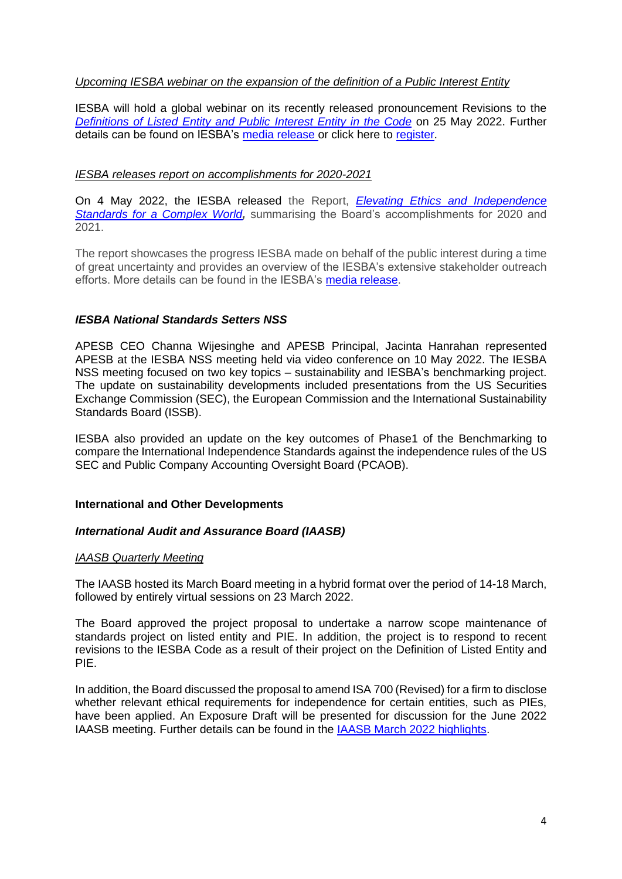#### *Upcoming IESBA webinar on the expansion of the definition of a Public Interest Entity*

IESBA will hold a global webinar on its recently released pronouncement Revisions to the *[Definitions of Listed Entity and Public Interest Entity in the Code](https://www.ethicsboard.org/publications/final-pronouncement-revisions-definitions-listed-entity-and-public-interest-entity-code)* on 25 May 2022. Further details can be found on IESBA's [media release](https://www.ethicsboard.org/news-events/2022-04/less-2-weeks-global-ethics-board-hold-webinar-recent-expansion-definition-public-interest-entity) or click here to [register.](https://ifac-org.zoom.us/webinar/register/WN_5p4seYauSlmbNEcp4Kz_pw)

#### *IESBA releases report on accomplishments for 2020-2021*

On 4 May 2022, the IESBA released the Report, *[Elevating Ethics and Independence](https://www.ethicsboard.org/publications/report-iesba-accomplishments-2022-2021)  [Standards for a Complex World](https://www.ethicsboard.org/publications/report-iesba-accomplishments-2022-2021),* summarising the Board's accomplishments for 2020 and 2021.

The report showcases the progress IESBA made on behalf of the public interest during a time of great uncertainty and provides an overview of the IESBA's extensive stakeholder outreach efforts. More details can be found in the IESBA's [media release.](https://www.ethicsboard.org/news-events/2022-05/iesba-releases-report-accomplishments-2020-2021)

#### *IESBA National Standards Setters NSS*

APESB CEO Channa Wijesinghe and APESB Principal, Jacinta Hanrahan represented APESB at the IESBA NSS meeting held via video conference on 10 May 2022. The IESBA NSS meeting focused on two key topics – sustainability and IESBA's benchmarking project. The update on sustainability developments included presentations from the US Securities Exchange Commission (SEC), the European Commission and the International Sustainability Standards Board (ISSB).

IESBA also provided an update on the key outcomes of Phase1 of the Benchmarking to compare the International Independence Standards against the independence rules of the US SEC and Public Company Accounting Oversight Board (PCAOB).

### **International and Other Developments**

#### *International Audit and Assurance Board (IAASB)*

#### *IAASB Quarterly Meeting*

The IAASB hosted its March Board meeting in a hybrid format over the period of 14-18 March, followed by entirely virtual sessions on 23 March 2022.

The Board approved the project proposal to undertake a narrow scope maintenance of standards project on listed entity and PIE. In addition, the project is to respond to recent revisions to the IESBA Code as a result of their project on the Definition of Listed Entity and PIE.

In addition, the Board discussed the proposal to amend ISA 700 (Revised) for a firm to disclose whether relevant ethical requirements for independence for certain entities, such as PIEs, have been applied. An Exposure Draft will be presented for discussion for the June 2022 IAASB meeting. Further details can be found in the [IAASB March](https://www.ifac.org/system/files/meetings/files/IAASB-March-2022-Meeting-Highlights-Final.pdf) 2022 highlights.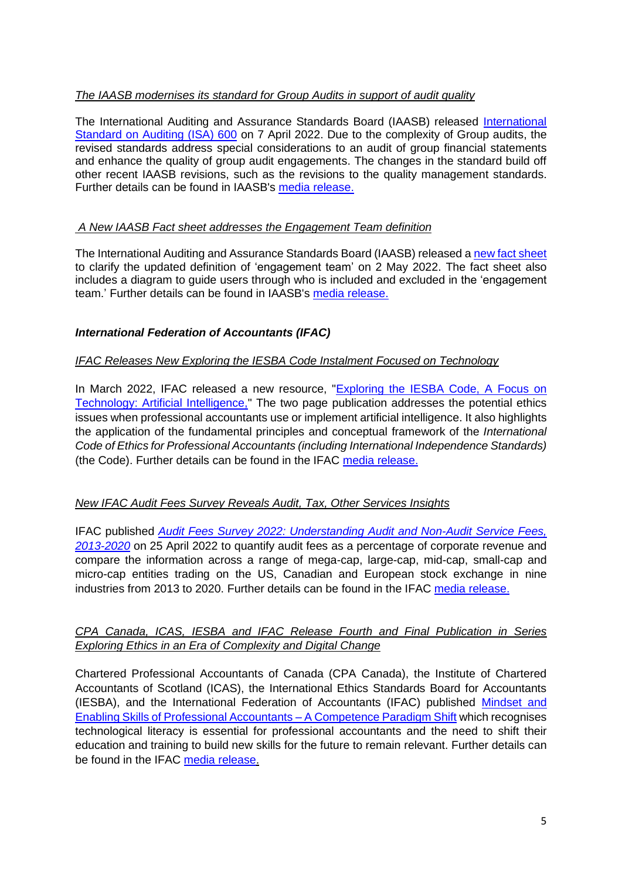# *The IAASB modernises its standard for Group Audits in support of audit quality*

The International Auditing and Assurance Standards Board (IAASB) released [International](https://www.iaasb.org/publications/international-standard-auditing-600-revised-special-considerations-audits-group-financial-statements)  [Standard on Auditing \(ISA\) 600](https://www.iaasb.org/publications/international-standard-auditing-600-revised-special-considerations-audits-group-financial-statements) on 7 April 2022. Due to the complexity of Group audits, the revised standards address special considerations to an audit of group financial statements and enhance the quality of group audit engagements. The changes in the standard build off other recent IAASB revisions, such as the revisions to the quality management standards. Further details can be found in IAASB's [media release.](https://www.iaasb.org/news-events/2022-04/iaasb-modernizes-its-standard-group-audits-support-audit-quality)

# *A New IAASB Fact sheet addresses the Engagement Team definition*

The International Auditing and Assurance Standards Board (IAASB) released [a new fact sheet](https://www.iaasb.org/publications/isa-220-revised-definition-engagement-team-fact-sheet) to clarify the updated definition of 'engagement team' on 2 May 2022. The fact sheet also includes a diagram to guide users through who is included and excluded in the 'engagement team.' Further details can be found in IAASB's [media release.](https://www.iaasb.org/news-events/2022-05/new-iaasb-fact-sheet-addresses-engagement-team-definition)

# *International Federation of Accountants (IFAC)*

## *IFAC Releases New Exploring the IESBA Code Instalment Focused on Technology*

In March 2022, IFAC released a new resource, ["Exploring the IESBA Code, A Focus on](https://www.ifac.org/knowledge-gateway/supporting-international-standards/publications/exploring-iesba-code-focus-technology-artificial-intelligence)  [Technology: Artificial Intelligence,](https://www.ifac.org/knowledge-gateway/supporting-international-standards/publications/exploring-iesba-code-focus-technology-artificial-intelligence)" The two page publication addresses the potential ethics issues when professional accountants use or implement artificial intelligence. It also highlights the application of the fundamental principles and conceptual framework of the *International Code of Ethics for Professional Accountants (including International Independence Standards)* (the Code). Further details can be found in the IFAC [media release.](https://www.ifac.org/news-events/2022-03/ifac-releases-new-exploring-iesba-code-installment-focused-technology)

### *New IFAC Audit Fees Survey Reveals Audit, Tax, Other Services Insights*

IFAC published *[Audit Fees Survey 2022: Understanding Audit and Non-Audit Service Fees,](https://www.ifac.org/knowledge-gateway/contributing-global-economy/publications/audit-fees-survey-2022)  [2013-2020](https://www.ifac.org/knowledge-gateway/contributing-global-economy/publications/audit-fees-survey-2022)* on 25 April 2022 to quantify audit fees as a percentage of corporate revenue and compare the information across a range of mega-cap, large-cap, mid-cap, small-cap and micro-cap entities trading on the US, Canadian and European stock exchange in nine industries from 2013 to 2020. Further details can be found in the IFAC [media release.](https://www.ifac.org/news-events/2022-04/new-ifac-audit-fees-survey-reveals-audit-tax-other-services-insights)

### *CPA Canada, ICAS, IESBA and IFAC Release Fourth and Final Publication in Series Exploring Ethics in an Era of Complexity and Digital Change*

Chartered Professional Accountants of Canada (CPA Canada), the Institute of Chartered Accountants of Scotland (ICAS), the International Ethics Standards Board for Accountants (IESBA), and the International Federation of Accountants (IFAC) published [Mindset and](https://www.ifac.org/knowledge-gateway/building-trust-ethics/publications/mindset-and-enabling-skills-professional-accountants-paper-4)  [Enabling Skills of Professional Accountants –](https://www.ifac.org/knowledge-gateway/building-trust-ethics/publications/mindset-and-enabling-skills-professional-accountants-paper-4) A Competence Paradigm Shift which recognises technological literacy is essential for professional accountants and the need to shift their education and training to build new skills for the future to remain relevant. Further details can be found in the IFAC [media release.](https://www.ifac.org/news-events/2022-04/cpa-canada-icas-iesba-and-ifac-release-fourth-and-final-publication-series-exploring-ethics-era)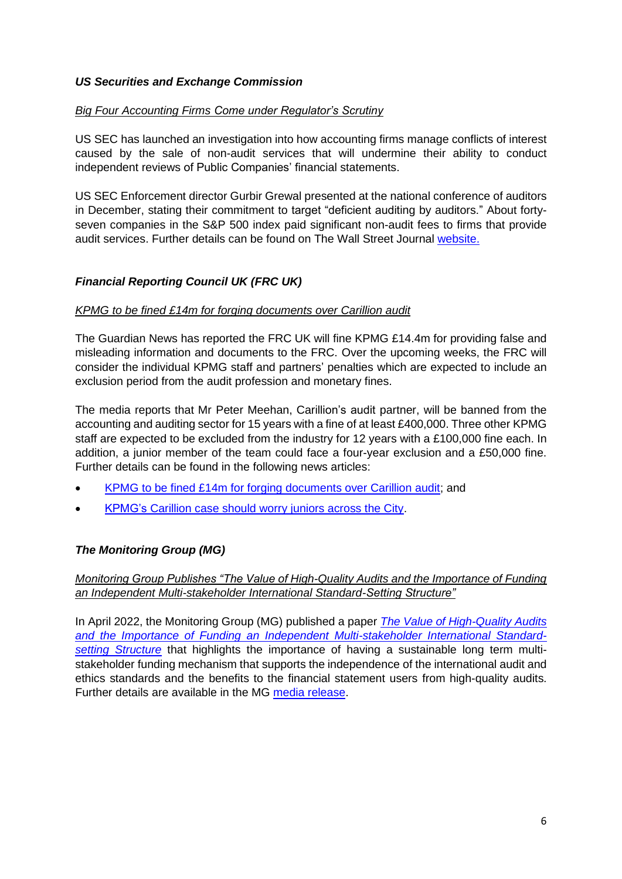### *US Securities and Exchange Commission*

### *Big Four Accounting Firms Come under Regulator's Scrutiny*

US SEC has launched an investigation into how accounting firms manage conflicts of interest caused by the sale of non-audit services that will undermine their ability to conduct independent reviews of Public Companies' financial statements.

US SEC Enforcement director Gurbir Grewal presented at the national conference of auditors in December, stating their commitment to target "deficient auditing by auditors." About fortyseven companies in the S&P 500 index paid significant non-audit fees to firms that provide audit services. Further details can be found on The Wall Street Journal [website.](https://www.wsj.com/articles/big-four-accounting-firms-come-under-regulators-scrutiny-11647364574)

# *Financial Reporting Council UK (FRC UK)*

## *KPMG to be fined £14m for forging documents over Carillion audit*

The Guardian News has reported the FRC UK will fine KPMG £14.4m for providing false and misleading information and documents to the FRC. Over the upcoming weeks, the FRC will consider the individual KPMG staff and partners' penalties which are expected to include an exclusion period from the audit profession and monetary fines.

The media reports that Mr Peter Meehan, Carillion's audit partner, will be banned from the accounting and auditing sector for 15 years with a fine of at least £400,000. Three other KPMG staff are expected to be excluded from the industry for 12 years with a £100,000 fine each. In addition, a junior member of the team could face a four-year exclusion and a £50,000 fine. Further details can be found in the following news articles:

- [KPMG to be fined £14m for forging documents over Carillion audit;](KPMG%20to%20be%20fined%20£14m%20for%20forging%20documents%20over%20Carillion%20audit) and
- [KPMG's Carillion case should worry juniors across the City.](https://www.ft.com/content/8bd9587b-e5df-4b68-a108-8bafeddc9669)

# *The Monitoring Group (MG)*

## *Monitoring Group Publishes "The Value of High-Quality Audits and the Importance of Funding an Independent Multi-stakeholder International Standard-Setting Structure"*

In April 2022, the Monitoring Group (MG) published a paper *[The Value of High-Quality Audits](https://www.iosco.org/about/monitoring_group/pdf/2022-04-The-Value-of-High-Quality-Audits-and-the-Importance-of-Funding-an-Independent-Multi-stakeholder-International-Standard-setting-Structure.pdf)  [and the Importance of Funding an Independent Multi-stakeholder International Standard](https://www.iosco.org/about/monitoring_group/pdf/2022-04-The-Value-of-High-Quality-Audits-and-the-Importance-of-Funding-an-Independent-Multi-stakeholder-International-Standard-setting-Structure.pdf)[setting Structure](https://www.iosco.org/about/monitoring_group/pdf/2022-04-The-Value-of-High-Quality-Audits-and-the-Importance-of-Funding-an-Independent-Multi-stakeholder-International-Standard-setting-Structure.pdf)* that highlights the importance of having a sustainable long term multistakeholder funding mechanism that supports the independence of the international audit and ethics standards and the benefits to the financial statement users from high-quality audits. Further details are available in the MG [media release.](https://www.iosco.org/about/monitoring_group/pdf/2022-04-Monitoring-Group-Publishes-The-Value-of-High-Quality-Audits-and-the-Importance-of-Funding-an-Independent-Multi-stakeholder-International-Standard-setting.pdf)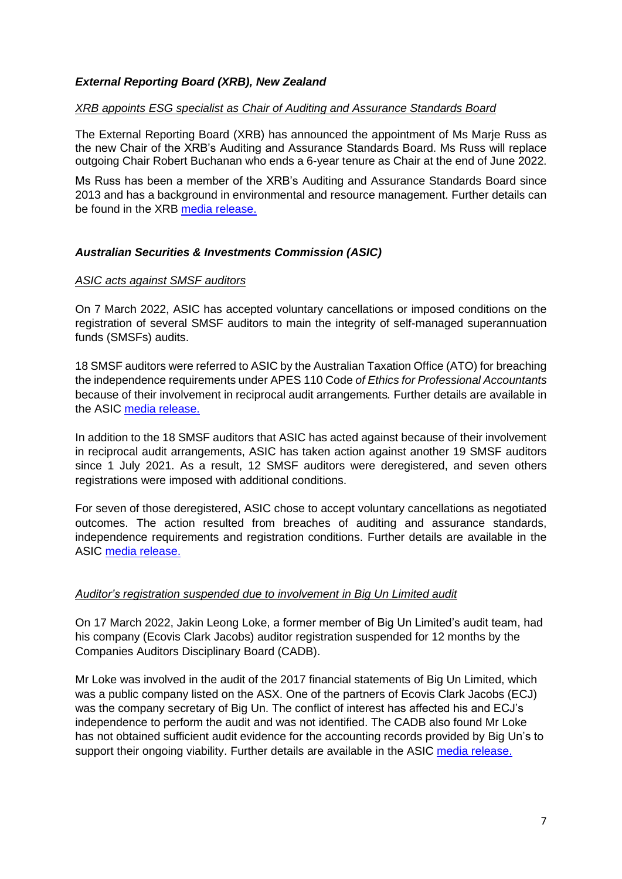### *External Reporting Board (XRB), New Zealand*

#### *XRB appoints ESG specialist as Chair of Auditing and Assurance Standards Board*

The External Reporting Board (XRB) has announced the appointment of Ms Marje Russ as the new Chair of the XRB's Auditing and Assurance Standards Board. Ms Russ will replace outgoing Chair Robert Buchanan who ends a 6-year tenure as Chair at the end of June 2022.

Ms Russ has been a member of the XRB's Auditing and Assurance Standards Board since 2013 and has a background in environmental and resource management. Further details can be found in the XRB [media release.](https://www.xrb.govt.nz/news/latest-news/)

## *Australian Securities & Investments Commission (ASIC)*

#### *ASIC acts against SMSF auditors*

On 7 March 2022, ASIC has accepted voluntary cancellations or imposed conditions on the registration of several SMSF auditors to main the integrity of self-managed superannuation funds (SMSFs) audits.

18 SMSF auditors were referred to ASIC by the Australian Taxation Office (ATO) for breaching the independence requirements under APES 110 Code *of Ethics for Professional Accountants*  because of their involvement in reciprocal audit arrangements*.* Further details are available in the ASIC [media release.](https://asic.gov.au/about-asic/news-centre/find-a-media-release/2022-releases/22-042mr-asic-acts-against-smsf-auditors-involved-in-reciprocal-audit-arrangements/) 

In addition to the 18 SMSF auditors that ASIC has acted against because of their involvement in reciprocal audit arrangements, ASIC has taken action against another 19 SMSF auditors since 1 July 2021. As a result, 12 SMSF auditors were deregistered, and seven others registrations were imposed with additional conditions.

For seven of those deregistered, ASIC chose to accept voluntary cancellations as negotiated outcomes. The action resulted from breaches of auditing and assurance standards, independence requirements and registration conditions. Further details are available in the ASIC [media release.](https://asic.gov.au/about-asic/news-centre/find-a-media-release/2022-releases/22-075mr-asic-acts-against-19-smsf-auditors/) 

#### *Auditor's registration suspended due to involvement in Big Un Limited audit*

On 17 March 2022, Jakin Leong Loke, a former member of Big Un Limited's audit team, had his company (Ecovis Clark Jacobs) auditor registration suspended for 12 months by the Companies Auditors Disciplinary Board (CADB).

Mr Loke was involved in the audit of the 2017 financial statements of Big Un Limited, which was a public company listed on the ASX. One of the partners of Ecovis Clark Jacobs (ECJ) was the company secretary of Big Un. The conflict of interest has affected his and ECJ's independence to perform the audit and was not identified. The CADB also found Mr Loke has not obtained sufficient audit evidence for the accounting records provided by Big Un's to support their ongoing viability. Further details are available in the ASIC media release.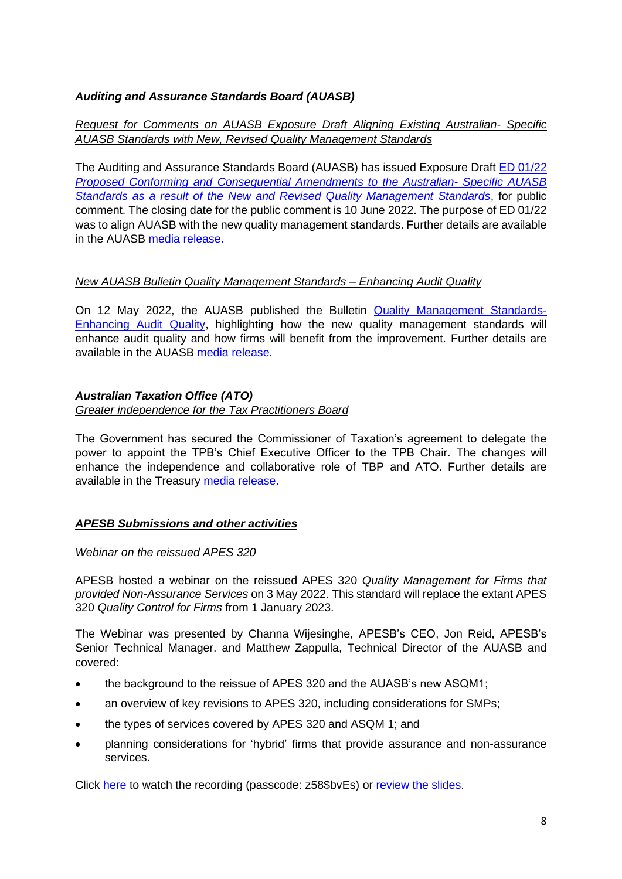# *Auditing and Assurance Standards Board (AUASB)*

## *Request for Comments on AUASB Exposure Draft Aligning Existing Australian- Specific AUASB Standards with New, Revised Quality Management Standards*

The Auditing and Assurance Standards Board (AUASB) has issued Exposure Draft [ED 01/22](https://www.auasb.gov.au/media/euqpmw1i/ed01_05-22.pdf)  *[Proposed Conforming and Consequential](https://www.auasb.gov.au/media/euqpmw1i/ed01_05-22.pdf) Amendments to the Australian- Specific AUASB [Standards as a result of the New and Revised Quality Management Standards](https://www.auasb.gov.au/media/euqpmw1i/ed01_05-22.pdf)*, for public comment. The closing date for the public comment is 10 June 2022. The purpose of ED 01/22 was to align AUASB with the new quality management standards. Further details are available in the AUASB [media release.](https://www.auasb.gov.au/news/request-for-comments-on-auasb-exposure-draft-aligning-existing-australian-specific-auasb-standards-with-new-revised-quality-management-standards/) 

### *New AUASB Bulletin Quality Management Standards – Enhancing Audit Quality*

On 12 May 2022, the AUASB published the Bulletin [Quality Management Standards-](https://www.auasb.gov.au/media/ys5cdpu5/bulletin_qms_enhanceaq_05-22.pdf)[Enhancing Audit Quality,](https://www.auasb.gov.au/media/ys5cdpu5/bulletin_qms_enhanceaq_05-22.pdf) highlighting how the new quality management standards will enhance audit quality and how firms will benefit from the improvement. Further details are available in the AUASB [media release.](https://www.auasb.gov.au/news/new-auasb-bulletin-quality-management-standards-enhancing-audit-quality/) 

# *Australian Taxation Office (ATO)*

#### *Greater independence for the Tax Practitioners Board*

The Government has secured the Commissioner of Taxation's agreement to delegate the power to appoint the TPB's Chief Executive Officer to the TPB Chair. The changes will enhance the independence and collaborative role of TBP and ATO. Further details are available in the Treasury [media release.](https://ministers.treasury.gov.au/ministers/michael-sukkar-2019/media-releases/greater-independence-tax-practitioners-board) 

### *APESB Submissions and other activities*

### *Webinar on the reissued APES 320*

APESB hosted a webinar on the reissued APES 320 *Quality Management for Firms that provided Non-Assurance Services* on 3 May 2022. This standard will replace the extant APES 320 *Quality Control for Firms* from 1 January 2023.

The Webinar was presented by Channa Wijesinghe, APESB's CEO, Jon Reid, APESB's Senior Technical Manager. and Matthew Zappulla, Technical Director of the AUASB and covered:

- the background to the reissue of APES 320 and the AUASB's new ASQM1;
- an overview of key revisions to APES 320, including considerations for SMPs;
- the types of services covered by APES 320 and ASQM 1; and
- planning considerations for 'hybrid' firms that provide assurance and non-assurance services.

Click [here](https://us02web.zoom.us/webinar/register/WN_WyZQ4JR_QUCv9xlZLxV_lw) to watch the recording (passcode: z58\$bvEs) or [review the slides.](https://apesb.org.au/wp-content/uploads/2022/05/APESB_Presentation_APES_320_Reissued_May_22.pdf)